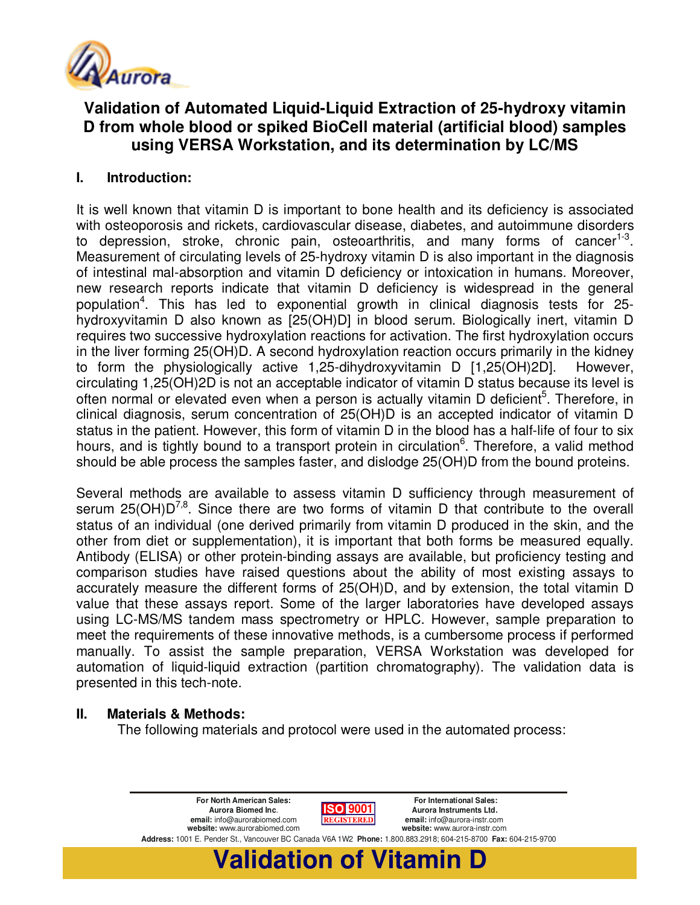

# **Validation of Automated Liquid-Liquid Extraction of 25-hydroxy vitamin D from whole blood or spiked BioCell material (artificial blood) samples using VERSA Workstation, and its determination by LC/MS**

# **I. Introduction:**

It is well known that vitamin D is important to bone health and its deficiency is associated with osteoporosis and rickets, cardiovascular disease, diabetes, and autoimmune disorders to depression, stroke, chronic pain, osteoarthritis, and many forms of cancer<sup>1-3</sup>. Measurement of circulating levels of 25-hydroxy vitamin D is also important in the diagnosis of intestinal mal-absorption and vitamin D deficiency or intoxication in humans. Moreover, new research reports indicate that vitamin D deficiency is widespread in the general population<sup>4</sup>. This has led to exponential growth in clinical diagnosis tests for 25hydroxyvitamin D also known as [25(OH)D] in blood serum. Biologically inert, vitamin D requires two successive hydroxylation reactions for activation. The first hydroxylation occurs in the liver forming 25(OH)D. A second hydroxylation reaction occurs primarily in the kidney to form the physiologically active 1,25-dihydroxyvitamin D [1,25(OH)2D]. However, circulating 1,25(OH)2D is not an acceptable indicator of vitamin D status because its level is often normal or elevated even when a person is actually vitamin D deficient<sup>5</sup>. Therefore, in clinical diagnosis, serum concentration of 25(OH)D is an accepted indicator of vitamin D status in the patient. However, this form of vitamin D in the blood has a half-life of four to six hours, and is tightly bound to a transport protein in circulation<sup>6</sup>. Therefore, a valid method should be able process the samples faster, and dislodge 25(OH)D from the bound proteins.

Several methods are available to assess vitamin D sufficiency through measurement of serum 25( $OH$ ) $D^{7,8}$ . Since there are two forms of vitamin D that contribute to the overall status of an individual (one derived primarily from vitamin D produced in the skin, and the other from diet or supplementation), it is important that both forms be measured equally. Antibody (ELISA) or other protein-binding assays are available, but proficiency testing and comparison studies have raised questions about the ability of most existing assays to accurately measure the different forms of 25(OH)D, and by extension, the total vitamin D value that these assays report. Some of the larger laboratories have developed assays using LC-MS/MS tandem mass spectrometry or HPLC. However, sample preparation to meet the requirements of these innovative methods, is a cumbersome process if performed manually. To assist the sample preparation, VERSA Workstation was developed for automation of liquid-liquid extraction (partition chromatography). The validation data is presented in this tech-note.

## **II. Materials & Methods:**

The following materials and protocol were used in the automated process:

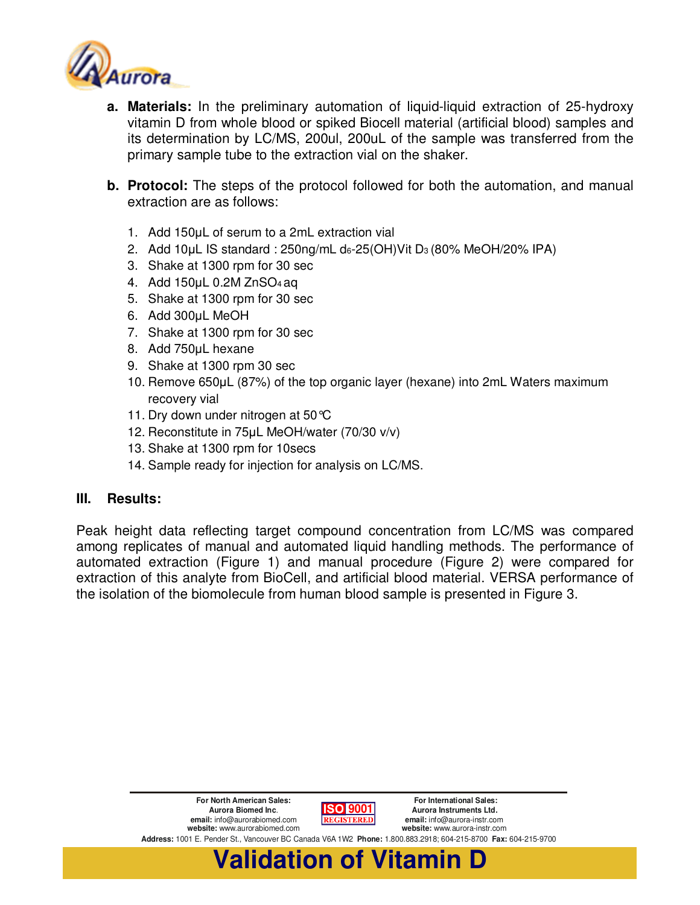

- **a. Materials:** In the preliminary automation of liquid-liquid extraction of 25-hydroxy vitamin D from whole blood or spiked Biocell material (artificial blood) samples and its determination by LC/MS, 200ul, 200uL of the sample was transferred from the primary sample tube to the extraction vial on the shaker.
- **b. Protocol:** The steps of the protocol followed for both the automation, and manual extraction are as follows:
	- 1. Add 150µL of serum to a 2mL extraction vial
	- 2. Add 10µL IS standard : 250ng/mL d6-25(OH)Vit D3 (80% MeOH/20% IPA)
	- 3. Shake at 1300 rpm for 30 sec
	- 4. Add 150µL 0.2M ZnSO4 aq
	- 5. Shake at 1300 rpm for 30 sec
	- 6. Add 300µL MeOH
	- 7. Shake at 1300 rpm for 30 sec
	- 8. Add 750µL hexane
	- 9. Shake at 1300 rpm 30 sec
	- 10. Remove 650µL (87%) of the top organic layer (hexane) into 2mL Waters maximum recovery vial
	- 11. Dry down under nitrogen at 50 °C
	- 12. Reconstitute in 75µL MeOH/water (70/30 v/v)
	- 13. Shake at 1300 rpm for 10secs
	- 14. Sample ready for injection for analysis on LC/MS.

#### **III. Results:**

Peak height data reflecting target compound concentration from LC/MS was compared among replicates of manual and automated liquid handling methods. The performance of automated extraction (Figure 1) and manual procedure (Figure 2) were compared for extraction of this analyte from BioCell, and artificial blood material. VERSA performance of the isolation of the biomolecule from human blood sample is presented in Figure 3.

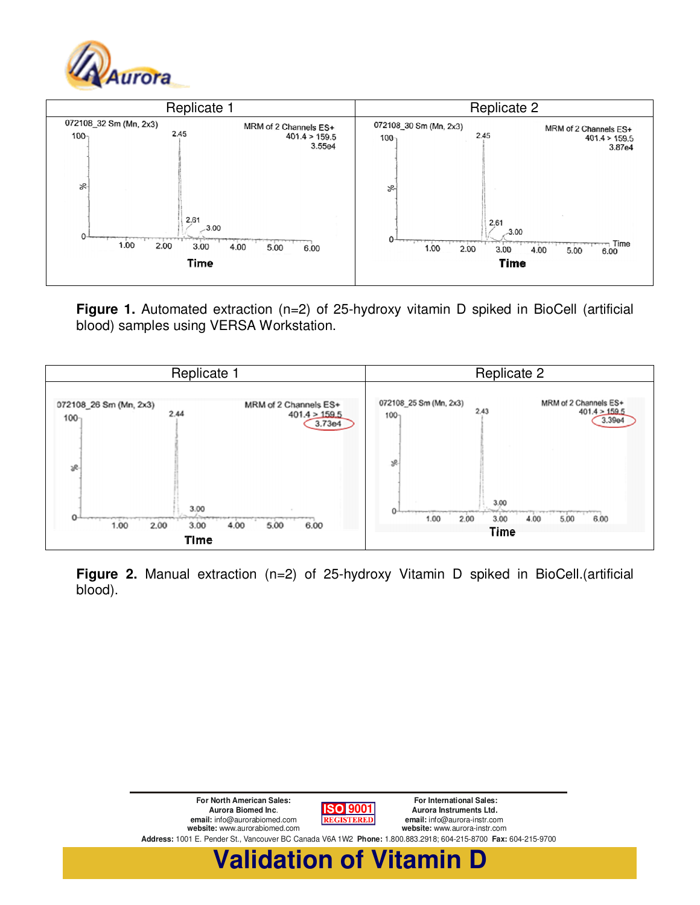



**Figure 1.** Automated extraction (n=2) of 25-hydroxy vitamin D spiked in BioCell (artificial blood) samples using VERSA Workstation.



**Figure 2.** Manual extraction (n=2) of 25-hydroxy Vitamin D spiked in BioCell.(artificial blood).

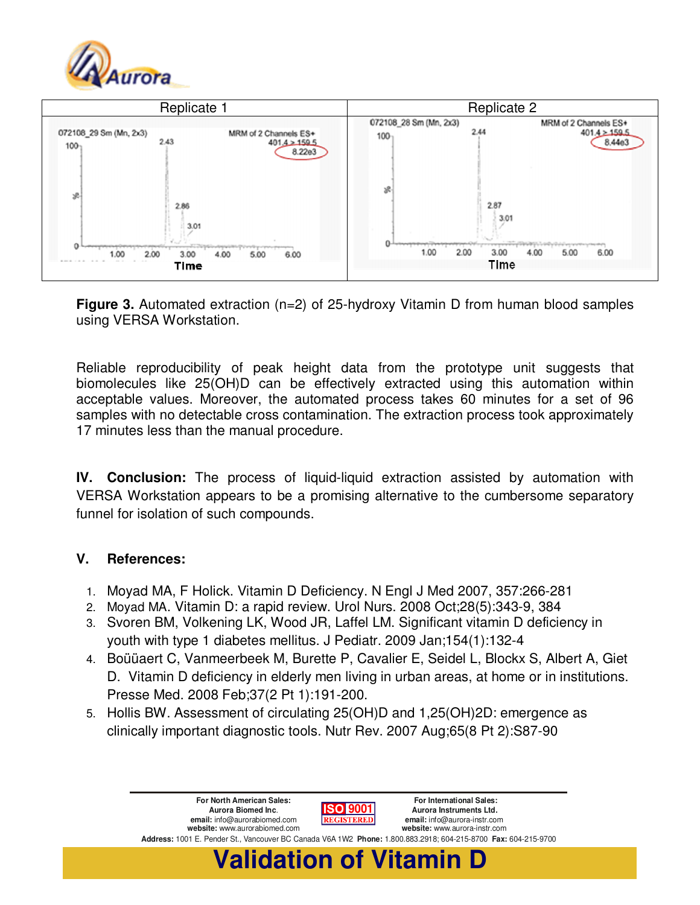



**Figure 3.** Automated extraction (n=2) of 25-hydroxy Vitamin D from human blood samples using VERSA Workstation.

Reliable reproducibility of peak height data from the prototype unit suggests that biomolecules like 25(OH)D can be effectively extracted using this automation within acceptable values. Moreover, the automated process takes 60 minutes for a set of 96 samples with no detectable cross contamination. The extraction process took approximately 17 minutes less than the manual procedure.

**IV. Conclusion:** The process of liquid-liquid extraction assisted by automation with VERSA Workstation appears to be a promising alternative to the cumbersome separatory funnel for isolation of such compounds.

## **V. References:**

- 1. Moyad MA, F Holick. Vitamin D Deficiency. N Engl J Med 2007, 357:266-281
- 2. Moyad MA. Vitamin D: a rapid review. Urol Nurs. 2008 Oct;28(5):343-9, 384
- 3. Svoren BM, Volkening LK, Wood JR, Laffel LM. Significant vitamin D deficiency in youth with type 1 diabetes mellitus. J Pediatr. 2009 Jan;154(1):132-4
- 4. Boüüaert C, Vanmeerbeek M, Burette P, Cavalier E, Seidel L, Blockx S, Albert A, Giet D. Vitamin D deficiency in elderly men living in urban areas, at home or in institutions. Presse Med. 2008 Feb;37(2 Pt 1):191-200.
- 5. Hollis BW. Assessment of circulating 25(OH)D and 1,25(OH)2D: emergence as clinically important diagnostic tools. Nutr Rev. 2007 Aug;65(8 Pt 2):S87-90